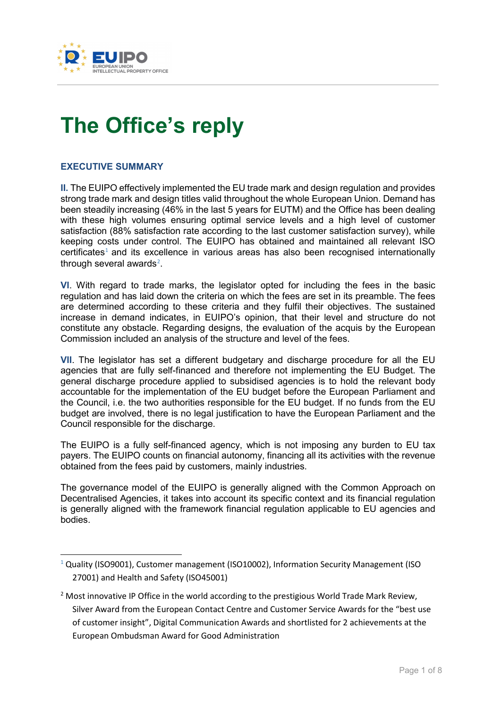

# **The Office's reply**

### **EXECUTIVE SUMMARY**

-

**II.** The EUIPO effectively implemented the EU trade mark and design regulation and provides strong trade mark and design titles valid throughout the whole European Union. Demand has been steadily increasing (46% in the last 5 years for EUTM) and the Office has been dealing with these high volumes ensuring optimal service levels and a high level of customer satisfaction (88% satisfaction rate according to the last customer satisfaction survey), while keeping costs under control. The EUIPO has obtained and maintained all relevant ISO  $c$ ertificates<sup>[1](#page-0-0)</sup> and its excellence in various areas has also been recognised internationally through several awards $2$ .

**VI**. With regard to trade marks, the legislator opted for including the fees in the basic regulation and has laid down the criteria on which the fees are set in its preamble. The fees are determined according to these criteria and they fulfil their objectives. The sustained increase in demand indicates, in EUIPO's opinion, that their level and structure do not constitute any obstacle. Regarding designs, the evaluation of the acquis by the European Commission included an analysis of the structure and level of the fees.

**VII**. The legislator has set a different budgetary and discharge procedure for all the EU agencies that are fully self-financed and therefore not implementing the EU Budget. The general discharge procedure applied to subsidised agencies is to hold the relevant body accountable for the implementation of the EU budget before the European Parliament and the Council, i.e. the two authorities responsible for the EU budget. If no funds from the EU budget are involved, there is no legal justification to have the European Parliament and the Council responsible for the discharge.

The EUIPO is a fully self-financed agency, which is not imposing any burden to EU tax payers. The EUIPO counts on financial autonomy, financing all its activities with the revenue obtained from the fees paid by customers, mainly industries.

The governance model of the EUIPO is generally aligned with the Common Approach on Decentralised Agencies, it takes into account its specific context and its financial regulation is generally aligned with the framework financial regulation applicable to EU agencies and bodies.

<span id="page-0-0"></span><sup>&</sup>lt;sup>1</sup> Quality (ISO9001), Customer management (ISO10002), Information Security Management (ISO 27001) and Health and Safety (ISO45001)

<span id="page-0-1"></span> $2$  Most innovative IP Office in the world according to the prestigious World Trade Mark Review, Silver Award from the European Contact Centre and Customer Service Awards for the "best use of customer insight", Digital Communication Awards and shortlisted for 2 achievements at the European Ombudsman Award for Good Administration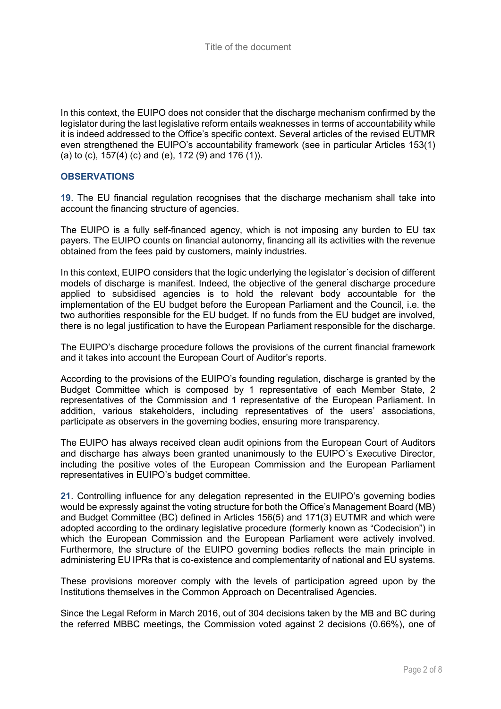In this context, the EUIPO does not consider that the discharge mechanism confirmed by the legislator during the last legislative reform entails weaknesses in terms of accountability while it is indeed addressed to the Office's specific context. Several articles of the revised EUTMR even strengthened the EUIPO's accountability framework (see in particular Articles 153(1) (a) to (c), 157(4) (c) and (e), 172 (9) and 176 (1)).

#### **OBSERVATIONS**

**19**. The EU financial regulation recognises that the discharge mechanism shall take into account the financing structure of agencies.

The EUIPO is a fully self-financed agency, which is not imposing any burden to EU tax payers. The EUIPO counts on financial autonomy, financing all its activities with the revenue obtained from the fees paid by customers, mainly industries.

In this context, EUIPO considers that the logic underlying the legislator´s decision of different models of discharge is manifest. Indeed, the objective of the general discharge procedure applied to subsidised agencies is to hold the relevant body accountable for the implementation of the EU budget before the European Parliament and the Council, i.e. the two authorities responsible for the EU budget. If no funds from the EU budget are involved, there is no legal justification to have the European Parliament responsible for the discharge.

The EUIPO's discharge procedure follows the provisions of the current financial framework and it takes into account the European Court of Auditor's reports.

According to the provisions of the EUIPO's founding regulation, discharge is granted by the Budget Committee which is composed by 1 representative of each Member State, 2 representatives of the Commission and 1 representative of the European Parliament. In addition, various stakeholders, including representatives of the users' associations, participate as observers in the governing bodies, ensuring more transparency.

The EUIPO has always received clean audit opinions from the European Court of Auditors and discharge has always been granted unanimously to the EUIPO´s Executive Director, including the positive votes of the European Commission and the European Parliament representatives in EUIPO's budget committee.

**21**. Controlling influence for any delegation represented in the EUIPO's governing bodies would be expressly against the voting structure for both the Office's Management Board (MB) and Budget Committee (BC) defined in Articles 156(5) and 171(3) EUTMR and which were adopted according to the ordinary legislative procedure (formerly known as "Codecision") in which the European Commission and the European Parliament were actively involved. Furthermore, the structure of the EUIPO governing bodies reflects the main principle in administering EU IPRs that is co-existence and complementarity of national and EU systems.

These provisions moreover comply with the levels of participation agreed upon by the Institutions themselves in the Common Approach on Decentralised Agencies.

Since the Legal Reform in March 2016, out of 304 decisions taken by the MB and BC during the referred MBBC meetings, the Commission voted against 2 decisions (0.66%), one of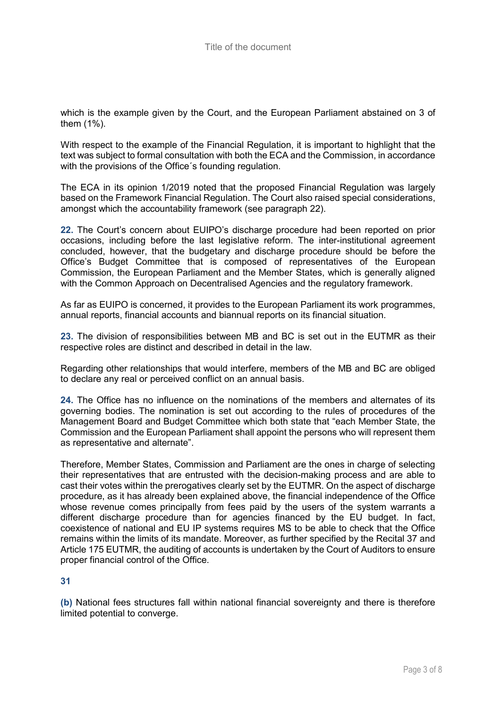which is the example given by the Court, and the European Parliament abstained on 3 of them (1%).

With respect to the example of the Financial Regulation, it is important to highlight that the text was subject to formal consultation with both the ECA and the Commission, in accordance with the provisions of the Office's founding regulation.

The ECA in its opinion 1/2019 noted that the proposed Financial Regulation was largely based on the Framework Financial Regulation. The Court also raised special considerations, amongst which the accountability framework (see paragraph 22).

**22.** The Court's concern about EUIPO's discharge procedure had been reported on prior occasions, including before the last legislative reform. The inter-institutional agreement concluded, however, that the budgetary and discharge procedure should be before the Office's Budget Committee that is composed of representatives of the European Commission, the European Parliament and the Member States, which is generally aligned with the Common Approach on Decentralised Agencies and the regulatory framework.

As far as EUIPO is concerned, it provides to the European Parliament its work programmes, annual reports, financial accounts and biannual reports on its financial situation.

**23.** The division of responsibilities between MB and BC is set out in the EUTMR as their respective roles are distinct and described in detail in the law.

Regarding other relationships that would interfere, members of the MB and BC are obliged to declare any real or perceived conflict on an annual basis.

**24.** The Office has no influence on the nominations of the members and alternates of its governing bodies. The nomination is set out according to the rules of procedures of the Management Board and Budget Committee which both state that "each Member State, the Commission and the European Parliament shall appoint the persons who will represent them as representative and alternate".

Therefore, Member States, Commission and Parliament are the ones in charge of selecting their representatives that are entrusted with the decision-making process and are able to cast their votes within the prerogatives clearly set by the EUTMR. On the aspect of discharge procedure, as it has already been explained above, the financial independence of the Office whose revenue comes principally from fees paid by the users of the system warrants a different discharge procedure than for agencies financed by the EU budget. In fact, coexistence of national and EU IP systems requires MS to be able to check that the Office remains within the limits of its mandate. Moreover, as further specified by the Recital 37 and Article 175 EUTMR, the auditing of accounts is undertaken by the Court of Auditors to ensure proper financial control of the Office.

#### **31**

**(b)** National fees structures fall within national financial sovereignty and there is therefore limited potential to converge.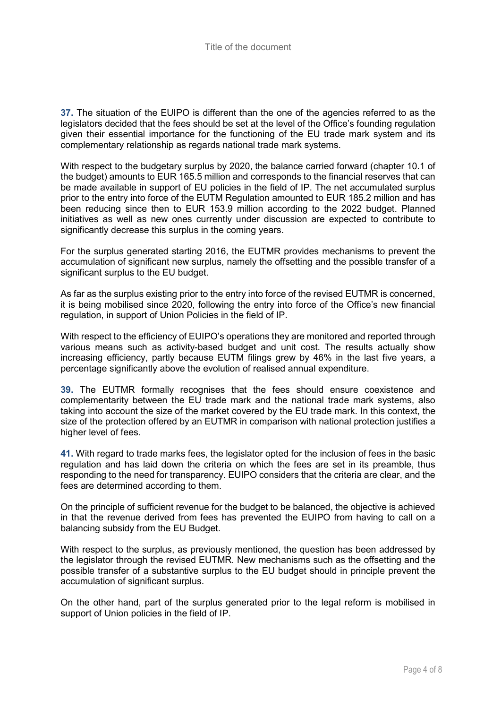**37.** The situation of the EUIPO is different than the one of the agencies referred to as the legislators decided that the fees should be set at the level of the Office's founding regulation given their essential importance for the functioning of the EU trade mark system and its complementary relationship as regards national trade mark systems.

With respect to the budgetary surplus by 2020, the balance carried forward (chapter 10.1 of the budget) amounts to EUR 165.5 million and corresponds to the financial reserves that can be made available in support of EU policies in the field of IP. The net accumulated surplus prior to the entry into force of the EUTM Regulation amounted to EUR 185.2 million and has been reducing since then to EUR 153.9 million according to the 2022 budget. Planned initiatives as well as new ones currently under discussion are expected to contribute to significantly decrease this surplus in the coming years.

For the surplus generated starting 2016, the EUTMR provides mechanisms to prevent the accumulation of significant new surplus, namely the offsetting and the possible transfer of a significant surplus to the EU budget.

As far as the surplus existing prior to the entry into force of the revised EUTMR is concerned, it is being mobilised since 2020, following the entry into force of the Office's new financial regulation, in support of Union Policies in the field of IP.

With respect to the efficiency of EUIPO's operations they are monitored and reported through various means such as activity-based budget and unit cost. The results actually show increasing efficiency, partly because EUTM filings grew by 46% in the last five years, a percentage significantly above the evolution of realised annual expenditure.

**39.** The EUTMR formally recognises that the fees should ensure coexistence and complementarity between the EU trade mark and the national trade mark systems, also taking into account the size of the market covered by the EU trade mark. In this context, the size of the protection offered by an EUTMR in comparison with national protection justifies a higher level of fees.

**41.** With regard to trade marks fees, the legislator opted for the inclusion of fees in the basic regulation and has laid down the criteria on which the fees are set in its preamble, thus responding to the need for transparency. EUIPO considers that the criteria are clear, and the fees are determined according to them.

On the principle of sufficient revenue for the budget to be balanced, the objective is achieved in that the revenue derived from fees has prevented the EUIPO from having to call on a balancing subsidy from the EU Budget.

With respect to the surplus, as previously mentioned, the question has been addressed by the legislator through the revised EUTMR. New mechanisms such as the offsetting and the possible transfer of a substantive surplus to the EU budget should in principle prevent the accumulation of significant surplus.

On the other hand, part of the surplus generated prior to the legal reform is mobilised in support of Union policies in the field of IP.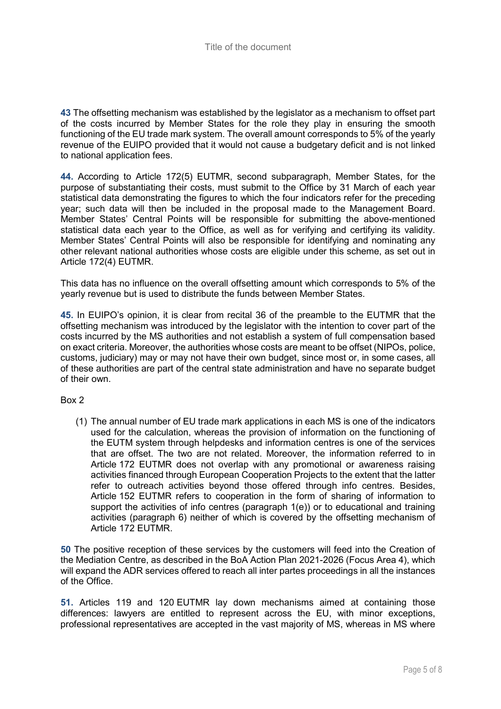**43** The offsetting mechanism was established by the legislator as a mechanism to offset part of the costs incurred by Member States for the role they play in ensuring the smooth functioning of the EU trade mark system. The overall amount corresponds to 5% of the yearly revenue of the EUIPO provided that it would not cause a budgetary deficit and is not linked to national application fees.

**44.** According to Article 172(5) EUTMR, second subparagraph, Member States, for the purpose of substantiating their costs, must submit to the Office by 31 March of each year statistical data demonstrating the figures to which the four indicators refer for the preceding year; such data will then be included in the proposal made to the Management Board. Member States' Central Points will be responsible for submitting the above-mentioned statistical data each year to the Office, as well as for verifying and certifying its validity. Member States' Central Points will also be responsible for identifying and nominating any other relevant national authorities whose costs are eligible under this scheme, as set out in Article 172(4) EUTMR.

This data has no influence on the overall offsetting amount which corresponds to 5% of the yearly revenue but is used to distribute the funds between Member States.

**45.** In EUIPO's opinion, it is clear from recital 36 of the preamble to the EUTMR that the offsetting mechanism was introduced by the legislator with the intention to cover part of the costs incurred by the MS authorities and not establish a system of full compensation based on exact criteria. Moreover, the authorities whose costs are meant to be offset (NIPOs, police, customs, judiciary) may or may not have their own budget, since most or, in some cases, all of these authorities are part of the central state administration and have no separate budget of their own.

Box 2

(1) The annual number of EU trade mark applications in each MS is one of the indicators used for the calculation, whereas the provision of information on the functioning of the EUTM system through helpdesks and information centres is one of the services that are offset. The two are not related. Moreover, the information referred to in Article 172 EUTMR does not overlap with any promotional or awareness raising activities financed through European Cooperation Projects to the extent that the latter refer to outreach activities beyond those offered through info centres. Besides, Article 152 EUTMR refers to cooperation in the form of sharing of information to support the activities of info centres (paragraph 1(e)) or to educational and training activities (paragraph 6) neither of which is covered by the offsetting mechanism of Article 172 EUTMR.

**50** The positive reception of these services by the customers will feed into the Creation of the Mediation Centre, as described in the BoA Action Plan 2021-2026 (Focus Area 4), which will expand the ADR services offered to reach all inter partes proceedings in all the instances of the Office.

**51.** Articles 119 and 120 EUTMR lay down mechanisms aimed at containing those differences: lawyers are entitled to represent across the EU, with minor exceptions, professional representatives are accepted in the vast majority of MS, whereas in MS where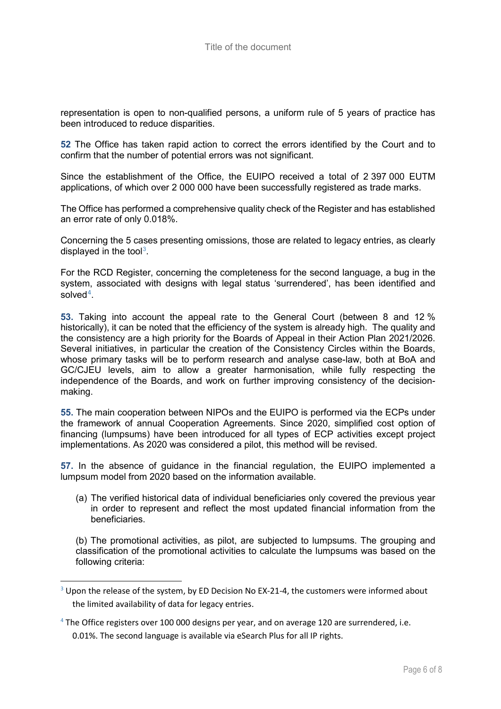representation is open to non-qualified persons, a uniform rule of 5 years of practice has been introduced to reduce disparities.

**52** The Office has taken rapid action to correct the errors identified by the Court and to confirm that the number of potential errors was not significant.

Since the establishment of the Office, the EUIPO received a total of 2 397 000 EUTM applications, of which over 2 000 000 have been successfully registered as trade marks.

The Office has performed a comprehensive quality check of the Register and has established an error rate of only 0.018%.

Concerning the 5 cases presenting omissions, those are related to legacy entries, as clearly displayed in the tool<sup>[3](#page-5-0)</sup>.

For the RCD Register, concerning the completeness for the second language, a bug in the system, associated with designs with legal status 'surrendered', has been identified and solved[4](#page-5-1).

**53.** Taking into account the appeal rate to the General Court (between 8 and 12 % historically), it can be noted that the efficiency of the system is already high. The quality and the consistency are a high priority for the Boards of Appeal in their Action Plan 2021/2026. Several initiatives, in particular the creation of the Consistency Circles within the Boards, whose primary tasks will be to perform research and analyse case-law, both at BoA and GC/CJEU levels, aim to allow a greater harmonisation, while fully respecting the independence of the Boards, and work on further improving consistency of the decisionmaking.

**55.** The main cooperation between NIPOs and the EUIPO is performed via the ECPs under the framework of annual Cooperation Agreements. Since 2020, simplified cost option of financing (lumpsums) have been introduced for all types of ECP activities except project implementations. As 2020 was considered a pilot, this method will be revised.

**57.** In the absence of guidance in the financial regulation, the EUIPO implemented a lumpsum model from 2020 based on the information available.

(a) The verified historical data of individual beneficiaries only covered the previous year in order to represent and reflect the most updated financial information from the beneficiaries.

(b) The promotional activities, as pilot, are subjected to lumpsums. The grouping and classification of the promotional activities to calculate the lumpsums was based on the following criteria:

-

<span id="page-5-0"></span> $3$  Upon the release of the system, by ED Decision No EX-21-4, the customers were informed about the limited availability of data for legacy entries.

<span id="page-5-1"></span> $4$  The Office registers over 100 000 designs per year, and on average 120 are surrendered, i.e. 0.01%. The second language is available via eSearch Plus for all IP rights.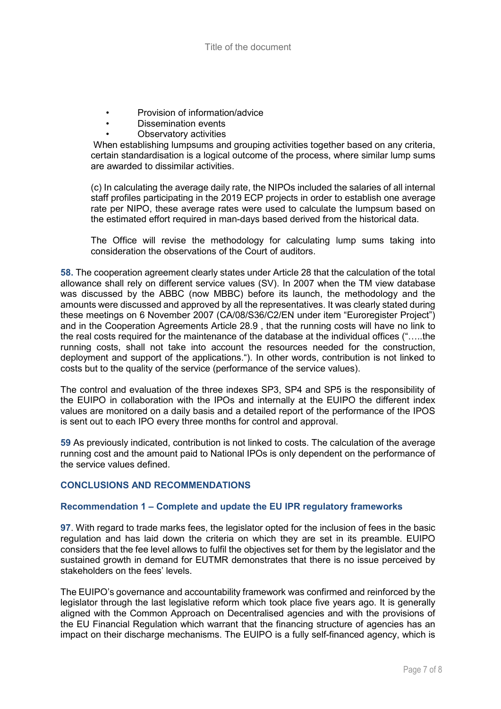- Provision of information/advice
- Dissemination events
- Observatory activities

When establishing lumpsums and grouping activities together based on any criteria, certain standardisation is a logical outcome of the process, where similar lump sums are awarded to dissimilar activities.

(c) In calculating the average daily rate, the NIPOs included the salaries of all internal staff profiles participating in the 2019 ECP projects in order to establish one average rate per NIPO, these average rates were used to calculate the lumpsum based on the estimated effort required in man-days based derived from the historical data.

The Office will revise the methodology for calculating lump sums taking into consideration the observations of the Court of auditors.

**58.** The cooperation agreement clearly states under Article 28 that the calculation of the total allowance shall rely on different service values (SV). In 2007 when the TM view database was discussed by the ABBC (now MBBC) before its launch, the methodology and the amounts were discussed and approved by all the representatives. It was clearly stated during these meetings on 6 November 2007 (CA/08/S36/C2/EN under item "Euroregister Project") and in the Cooperation Agreements Article 28.9 , that the running costs will have no link to the real costs required for the maintenance of the database at the individual offices ("…..the running costs, shall not take into account the resources needed for the construction, deployment and support of the applications."). In other words, contribution is not linked to costs but to the quality of the service (performance of the service values).

The control and evaluation of the three indexes SP3, SP4 and SP5 is the responsibility of the EUIPO in collaboration with the IPOs and internally at the EUIPO the different index values are monitored on a daily basis and a detailed report of the performance of the IPOS is sent out to each IPO every three months for control and approval.

**59** As previously indicated, contribution is not linked to costs. The calculation of the average running cost and the amount paid to National IPOs is only dependent on the performance of the service values defined.

## **CONCLUSIONS AND RECOMMENDATIONS**

#### **Recommendation 1 – Complete and update the EU IPR regulatory frameworks**

**97**. With regard to trade marks fees, the legislator opted for the inclusion of fees in the basic regulation and has laid down the criteria on which they are set in its preamble. EUIPO considers that the fee level allows to fulfil the objectives set for them by the legislator and the sustained growth in demand for EUTMR demonstrates that there is no issue perceived by stakeholders on the fees' levels.

The EUIPO's governance and accountability framework was confirmed and reinforced by the legislator through the last legislative reform which took place five years ago. It is generally aligned with the Common Approach on Decentralised agencies and with the provisions of the EU Financial Regulation which warrant that the financing structure of agencies has an impact on their discharge mechanisms. The EUIPO is a fully self-financed agency, which is